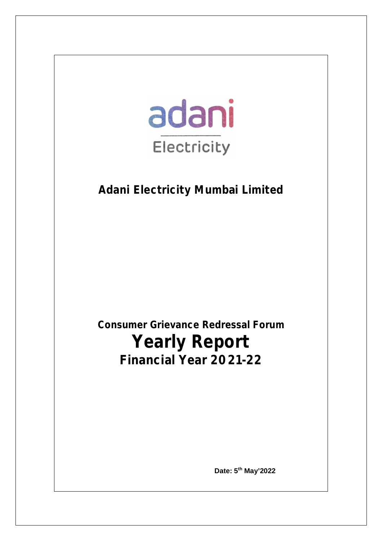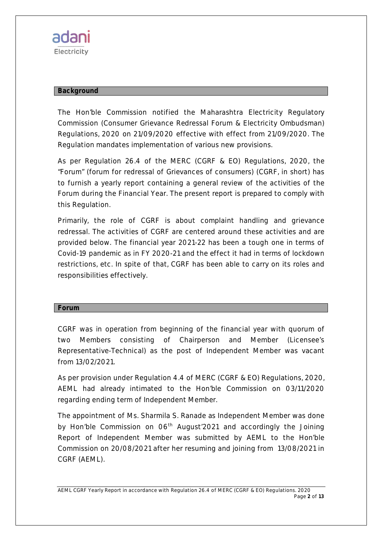

#### **Background**

The Hon'ble Commission notified the Maharashtra Electricity Regulatory Commission (Consumer Grievance Redressal Forum & Electricity Ombudsman) Regulations, 2020 on 21/09/2020 effective with effect from 21/09/2020. The Regulation mandates implementation of various new provisions.

As per Regulation 26.4 of the MERC (CGRF & EO) Regulations, 2020, the "Forum" (forum for redressal of Grievances of consumers) (CGRF, in short) has to furnish a yearly report containing a general review of the activities of the Forum during the Financial Year. The present report is prepared to comply with this Regulation.

Primarily, the role of CGRF is about complaint handling and grievance redressal. The activities of CGRF are centered around these activities and are provided below. The financial year 2021-22 has been a tough one in terms of Covid-19 pandemic as in FY 2020-21 and the effect it had in terms of lockdown restrictions, etc. In spite of that, CGRF has been able to carry on its roles and responsibilities effectively.

#### **Forum**

CGRF was in operation from beginning of the financial year with quorum of two Members consisting of Chairperson and Member (Licensee's Representative-Technical) as the post of Independent Member was vacant from 13/02/2021.

As per provision under Regulation 4.4 of MERC (CGRF & EO) Regulations, 2020, AEML had already intimated to the Hon'ble Commission on 03/11/2020 regarding ending term of Independent Member.

The appointment of Ms. Sharmila S. Ranade as Independent Member was done by Hon'ble Commission on 06<sup>th</sup> August<sup>'</sup>2021 and accordingly the Joining Report of Independent Member was submitted by AEML to the Hon'ble Commission on 20/08/2021 after her resuming and joining from 13/08/2021 in CGRF (AEML).

*AEML CGRF Yearly Report in accordance with Regulation 26.4 of MERC (CGRF & EO) Regulations. 2020 Page 2 of 13*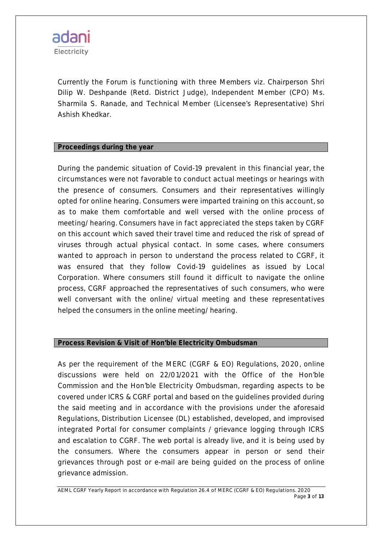

Currently the Forum is functioning with three Members viz. Chairperson Shri Dilip W. Deshpande (Retd. District Judge), Independent Member (CPO) Ms. Sharmila S. Ranade, and Technical Member (Licensee's Representative) Shri Ashish Khedkar.

#### **Proceedings during the year**

During the pandemic situation of Covid-19 prevalent in this financial year, the circumstances were not favorable to conduct actual meetings or hearings with the presence of consumers. Consumers and their representatives willingly opted for online hearing. Consumers were imparted training on this account, so as to make them comfortable and well versed with the online process of meeting/ hearing. Consumers have in fact appreciated the steps taken by CGRF on this account which saved their travel time and reduced the risk of spread of viruses through actual physical contact. In some cases, where consumers wanted to approach in person to understand the process related to CGRF, it was ensured that they follow Covid-19 guidelines as issued by Local Corporation. Where consumers still found it difficult to navigate the online process, CGRF approached the representatives of such consumers, who were well conversant with the online/ virtual meeting and these representatives helped the consumers in the online meeting/ hearing.

#### **Process Revision & Visit of Hon'ble Electricity Ombudsman**

As per the requirement of the MERC (CGRF & EO) Regulations, 2020, online discussions were held on 22/01/2021 with the Office of the Hon'ble Commission and the Hon'ble Electricity Ombudsman, regarding aspects to be covered under ICRS & CGRF portal and based on the guidelines provided during the said meeting and in accordance with the provisions under the aforesaid Regulations, Distribution Licensee (DL) established, developed, and improvised integrated Portal for consumer complaints / grievance logging through ICRS and escalation to CGRF. The web portal is already live, and it is being used by the consumers. Where the consumers appear in person or send their grievances through post or e-mail are being guided on the process of online grievance admission.

*AEML CGRF Yearly Report in accordance with Regulation 26.4 of MERC (CGRF & EO) Regulations. 2020 Page 3 of 13*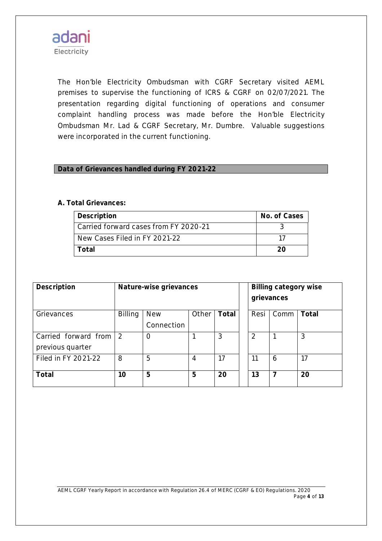

The Hon'ble Electricity Ombudsman with CGRF Secretary visited AEML premises to supervise the functioning of ICRS & CGRF on 02/07/2021. The presentation regarding digital functioning of operations and consumer complaint handling process was made before the Hon'ble Electricity Ombudsman Mr. Lad & CGRF Secretary, Mr. Dumbre. Valuable suggestions were incorporated in the current functioning.

#### **Data of Grievances handled during FY 2021-22**

#### **A. Total Grievances:**

| Description                           | No. of Cases |
|---------------------------------------|--------------|
| Carried forward cases from FY 2020-21 |              |
| New Cases Filed in FY 2021-22         |              |
| Total                                 | 20           |

| <b>Description</b>     | Nature-wise grievances |            |       |              | <b>Billing category wise</b><br>grievances |      |              |
|------------------------|------------------------|------------|-------|--------------|--------------------------------------------|------|--------------|
| Grievances             | <b>Billing</b>         | <b>New</b> | Other | <b>Total</b> | Resi                                       | Comm | <b>Total</b> |
|                        |                        | Connection |       |              |                                            |      |              |
| Carried forward from 2 |                        | O          |       | 3            | 2                                          |      | 3            |
| previous quarter       |                        |            |       |              |                                            |      |              |
| Filed in FY 2021-22    | 8                      | 5          | 4     | 17           | 11                                         | 6    | 17           |
| Total                  | 10                     | 5          | 5     | 20           | 13                                         | 7    | 20           |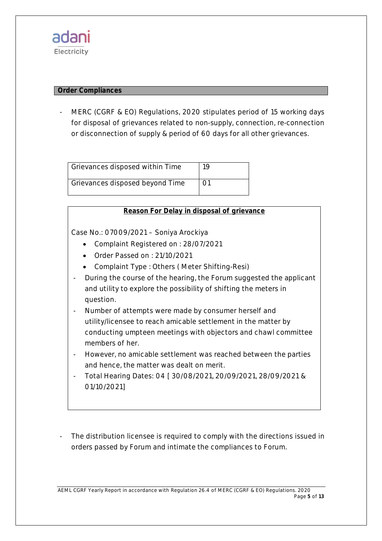#### **Order Compliances**

MERC (CGRF & EO) Regulations, 2020 stipulates period of 15 working days for disposal of grievances related to non-supply, connection, re-connection or disconnection of supply & period of 60 days for all other grievances.

Grievances disposed within Time 19 Grievances disposed beyond Time | 01

| Reason For Delay in disposal of grievance |  |  |
|-------------------------------------------|--|--|
|                                           |  |  |

Case No.: 07009/2021 – Soniya Arockiya

- Complaint Registered on : 28/07/2021
- Order Passed on : 21/10/2021
- Complaint Type : Others ( Meter Shifting-Resi)
- During the course of the hearing, the Forum suggested the applicant and utility to explore the possibility of shifting the meters in question.
- Number of attempts were made by consumer herself and utility/licensee to reach amicable settlement in the matter by conducting umpteen meetings with objectors and chawl committee members of her.
- However, no amicable settlement was reached between the parties and hence, the matter was dealt on merit.
- Total Hearing Dates: 04 [ 30/08/2021, 20/09/2021, 28/09/2021 & 01/10/2021]
- The distribution licensee is required to comply with the directions issued in orders passed by Forum and intimate the compliances to Forum.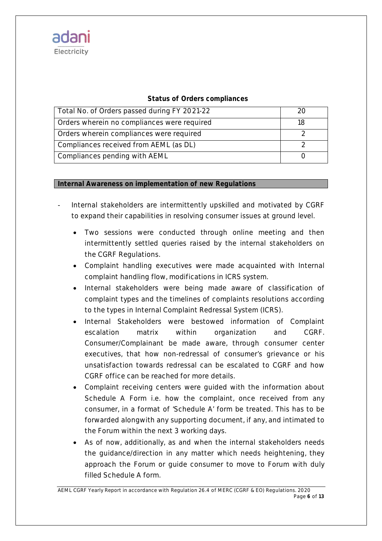# **Status of Orders compliances**

| Total No. of Orders passed during FY 2021-22 |  |
|----------------------------------------------|--|
| Orders wherein no compliances were required  |  |
| Orders wherein compliances were required     |  |
| Compliances received from AEML (as DL)       |  |
| <b>Compliances pending with AEML</b>         |  |

# **Internal Awareness on implementation of new Regulations**

- Internal stakeholders are intermittently upskilled and motivated by CGRF to expand their capabilities in resolving consumer issues at ground level.
	- Two sessions were conducted through online meeting and then intermittently settled queries raised by the internal stakeholders on the CGRF Regulations.
	- Complaint handling executives were made acquainted with Internal complaint handling flow, modifications in ICRS system.
	- Internal stakeholders were being made aware of classification of complaint types and the timelines of complaints resolutions according to the types in Internal Complaint Redressal System (ICRS).
	- Internal Stakeholders were bestowed information of Complaint escalation matrix within organization and CGRF. Consumer/Complainant be made aware, through consumer center executives, that how non-redressal of consumer's grievance or his unsatisfaction towards redressal can be escalated to CGRF and how CGRF office can be reached for more details.
	- Complaint receiving centers were guided with the information about Schedule A Form i.e. how the complaint, once received from any consumer, in a format of 'Schedule A' form be treated. This has to be forwarded alongwith any supporting document, if any, and intimated to the Forum within the next 3 working days.
	- As of now, additionally, as and when the internal stakeholders needs the guidance/direction in any matter which needs heightening, they approach the Forum or guide consumer to move to Forum with duly filled Schedule A form.

*AEML CGRF Yearly Report in accordance with Regulation 26.4 of MERC (CGRF & EO) Regulations. 2020 Page 6 of 13*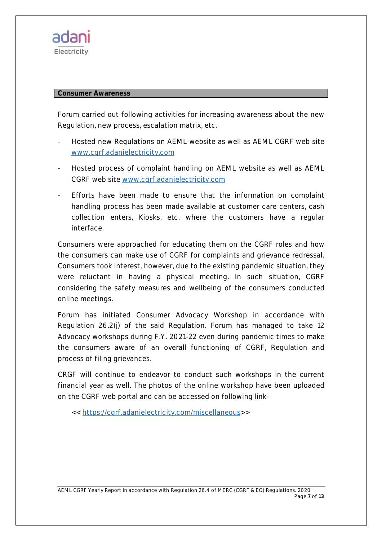

#### **Consumer Awareness**

Forum carried out following activities for increasing awareness about the new Regulation, new process, escalation matrix, etc.

- Hosted new Regulations on AEML website as well as AEML CGRF web site www.cgrf.adanielectricity.com
- Hosted process of complaint handling on AEML website as well as AEML CGRF web site www.cgrf.adanielectricity.com
- Efforts have been made to ensure that the information on complaint handling process has been made available at customer care centers, cash collection enters, Kiosks, etc. where the customers have a regular interface.

Consumers were approached for educating them on the CGRF roles and how the consumers can make use of CGRF for complaints and grievance redressal. Consumers took interest, however, due to the existing pandemic situation, they were reluctant in having a physical meeting. In such situation, CGRF considering the safety measures and wellbeing of the consumers conducted online meetings.

Forum has initiated Consumer Advocacy Workshop in accordance with Regulation 26.2(j) of the said Regulation. Forum has managed to take 12 Advocacy workshops during F.Y. 2021-22 even during pandemic times to make the consumers aware of an overall functioning of CGRF, Regulation and process of filing grievances.

CRGF will continue to endeavor to conduct such workshops in the current financial year as well. The photos of the online workshop have been uploaded on the CGRF web portal and can be accessed on following link-

<< https://cgrf.adanielectricity.com/miscellaneous>>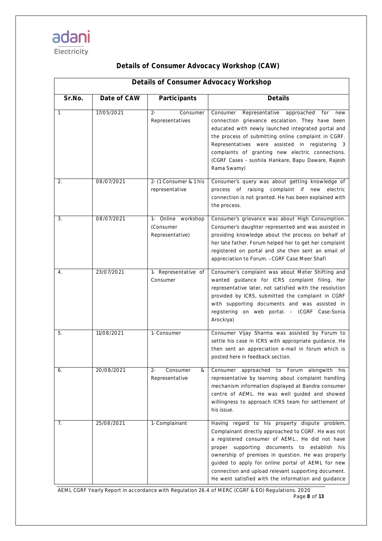|              | <b>Details of Consumer Advocacy Workshop</b> |                                                          |                                                                                                                                                                                                                                                                                                                                                                                                                                 |  |  |  |
|--------------|----------------------------------------------|----------------------------------------------------------|---------------------------------------------------------------------------------------------------------------------------------------------------------------------------------------------------------------------------------------------------------------------------------------------------------------------------------------------------------------------------------------------------------------------------------|--|--|--|
| Sr.No.       | Date of CAW                                  | Participants                                             | <b>Details</b>                                                                                                                                                                                                                                                                                                                                                                                                                  |  |  |  |
| $\mathbf{1}$ | 17/05/2021                                   | $2 -$<br>Consumer<br>Representatives                     | Representative<br>Consumer<br>approached<br>for<br>new<br>connection grievance escalation. They have been<br>educated with newly launched integrated portal and<br>the process of submitting online complaint in CGRF.<br>Representatives were assisted in registering 3<br>complaints of granting new electric connections.<br>(CGRF Cases - sushila Hankare, Bapu Daware, Rajesh<br>Rama Swamy)                               |  |  |  |
| 2.           | 08/07/2021                                   | 2- (1 Consumer & 1 his<br>representative                 | Consumer's query was about getting knowledge of<br>process of raising complaint if new<br>electric<br>connection is not granted. He has been explained with<br>the process.                                                                                                                                                                                                                                                     |  |  |  |
| 3.           | 08/07/2021                                   | Online workshop<br>$1 -$<br>(Consumer<br>Representative) | Consumer's grievance was about High Consumption.<br>Consumer's daughter represented and was assisted in<br>providing knowledge about the process on behalf of<br>her late father. Forum helped her to get her complaint<br>registered on portal and she then sent an email of<br>appreciation to Forum. - CGRF Case Meer Shafi                                                                                                  |  |  |  |
| 4.           | 23/07/2021                                   | 1- Representative of<br>Consumer                         | Consumer's complaint was about Meter Shifting and<br>wanted guidance for ICRS complaint filing. Her<br>representative later, not satisfied with the resolution<br>provided by ICRS, submitted the complaint in CGRF<br>with supporting documents and was assisted in<br>registering on web portal. - (CGRF Case-Sonia<br>Arockiya)                                                                                              |  |  |  |
| 5.           | 11/08/2021                                   | 1- Consumer                                              | Consumer Vijay Sharma was assisted by Forum to<br>settle his case in ICRS with appropriate guidance. He<br>then sent an appreciation e-mail in forum which is<br>posted here in feedback section.                                                                                                                                                                                                                               |  |  |  |
| 6.           | 20/08/2021                                   | $2 -$<br>Consumer<br>&<br>Representative                 | Consumer approached to Forum alongwith his<br>representative by learning about complaint handling<br>mechanism information displayed at Bandra consumer<br>centre of AEML. He was well guided and showed<br>willingness to approach ICRS team for settlement of<br>his issue.                                                                                                                                                   |  |  |  |
| 7.           | 25/08/2021                                   | 1- Complainant                                           | Having regard to his property dispute problem,<br>Complainant directly approached to CGRF. He was not<br>a registered consumer of AEML He did not have<br>proper supporting documents to establish his<br>ownership of premises in question. He was properly<br>guided to apply for online portal of AEML for new<br>connection and upload relevant supporting document.<br>He went satisfied with the information and guidance |  |  |  |

# **Details of Consumer Advocacy Workshop (CAW)**

*AEML CGRF Yearly Report in accordance with Regulation 26.4 of MERC (CGRF & EO) Regulations. 2020 Page 8 of 13*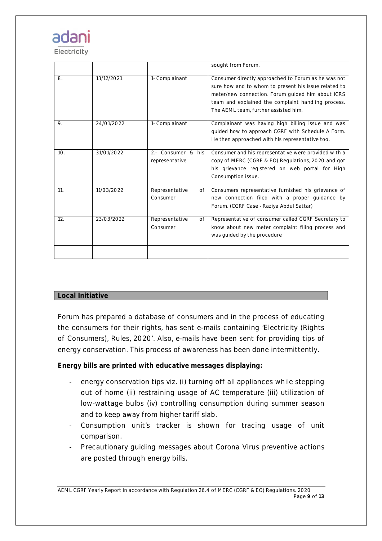# ada

Electricity

|     |            |                                      | sought from Forum.                                                                                                                                                                                                                                             |
|-----|------------|--------------------------------------|----------------------------------------------------------------------------------------------------------------------------------------------------------------------------------------------------------------------------------------------------------------|
| 8.  | 13/12/2021 | 1- Complainant                       | Consumer directly approached to Forum as he was not<br>sure how and to whom to present his issue related to<br>meter/new connection. Forum guided him about ICRS<br>team and explained the complaint handling process.<br>The AEML team, further assisted him. |
| 9.  | 24/01/2022 | 1- Complainant                       | Complainant was having high billing issue and was<br>quided how to approach CGRF with Schedule A Form.<br>He then approached with his representative too.                                                                                                      |
| 10. | 31/01/2022 | 2.- Consumer & his<br>representative | Consumer and his representative were provided with a<br>copy of MERC (CGRF & EO) Regulations, 2020 and got<br>his grievance registered on web portal for High<br>Consumption issue.                                                                            |
| 11. | 11/03/2022 | Representative<br>of<br>Consumer     | Consumers representative furnished his grievance of<br>new connection filed with a proper guidance by<br>Forum. (CGRF Case - Raziya Abdul Sattar)                                                                                                              |
| 12. | 23/03/2022 | Representative<br>of<br>Consumer     | Representative of consumer called CGRF Secretary to<br>know about new meter complaint filing process and<br>was guided by the procedure                                                                                                                        |
|     |            |                                      |                                                                                                                                                                                                                                                                |

# **Local Initiative**

Forum has prepared a database of consumers and in the process of educating the consumers for their rights, has sent e-mails containing 'Electricity (Rights of Consumers), Rules, 2020'. Also, e-mails have been sent for providing tips of energy conservation. This process of awareness has been done intermittently.

# **Energy bills are printed with educative messages displaying:**

- energy conservation tips viz. (i) turning off all appliances while stepping out of home (ii) restraining usage of AC temperature (iii) utilization of low-wattage bulbs (iv) controlling consumption during summer season and to keep away from higher tariff slab.
- Consumption unit's tracker is shown for tracing usage of unit comparison.
- Precautionary guiding messages about Corona Virus preventive actions are posted through energy bills.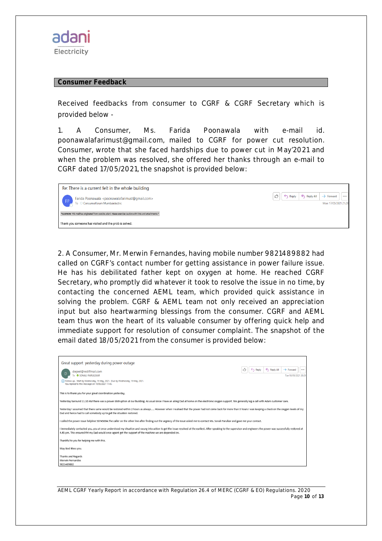#### **Consumer Feedback**

Received feedbacks from consumer to CGRF & CGRF Secretary which is provided below -

1. A Consumer, Ms. Farida Poonawala with e-mail id. poonawalafarimust@gmail.com, mailed to CGRF for power cut resolution. Consumer, wrote that she faced hardships due to power cut in May'2021 and when the problem was resolved, she offered her thanks through an e-mail to CGRF dated 17/05/2021, the snapshot is provided below:



2. A Consumer, Mr. Merwin Fernandes, having mobile number 9821489882 had called on CGRF's contact number for getting assistance in power failure issue. He has his debilitated father kept on oxygen at home. He reached CGRF Secretary, who promptly did whatever it took to resolve the issue in no time, by contacting the concerned AEML team, which provided quick assistance in solving the problem. CGRF & AEML team not only received an appreciation input but also heartwarming blessings from the consumer. CGRF and AEML team thus won the heart of its valuable consumer by offering quick help and immediate support for resolution of consumer complaint. The snapshot of the email dated 18/05/2021 from the consumer is provided below:

| Great support yesterday during power outage                                                                                                                                                                                                                                                                                      |
|----------------------------------------------------------------------------------------------------------------------------------------------------------------------------------------------------------------------------------------------------------------------------------------------------------------------------------|
| K Reply All<br>$\rightarrow$ Forward<br>Reply<br><br>diejeet@rediffmail.com<br>To <b>C</b> SONALI PARULEKAR<br>Tue 18/05/2021 20:29<br>(i) Follow up. Start by Wednesday, 19 May, 2021. Due by Wednesday, 19 May, 2021.<br>You replied to this message on 19/05/2021 11:45.                                                      |
| This is to thank you for your great coordination yesterday.                                                                                                                                                                                                                                                                      |
| Yesterday baround 11.10 AM there was a power distruption at our building. As usual since I have an ailing Dad at home on the electronic oxygen support. We generally log a call with Adani customer care.                                                                                                                        |
| Yesterday I assumed that there same would be restored within 2 hours as always However when I realised that the power had not come back for more than 3 hours I was keeping a check on the oxygen levels of my<br>Dad and hence had to call somebody up to get the situation restored.                                           |
| I called the power issue helpline 50745004.The caller on the other line after finding out the urgency of the issue asked me to contact Ms. Sonali Parulkar and gave me your contact.                                                                                                                                             |
| I immediately contacted you, you at once understood my situation and swung into action to get the issue resolved at the earliest. After speaking to the supervisor and engineers the power was successfully restored at<br>4.45 pm. This ensured tht my Dad would once againt get the support of the machine we are depended on. |
| Thankful to you for helping me with this.                                                                                                                                                                                                                                                                                        |
| May God Bless you.                                                                                                                                                                                                                                                                                                               |
| Thanks and Regards<br>Merwin Fernandes<br>9821489882                                                                                                                                                                                                                                                                             |

| AEML CGRF Yearly Report in accordance with Regulation 26.4 of MERC (CGRF & EO) Regulations. 2020 |               |
|--------------------------------------------------------------------------------------------------|---------------|
|                                                                                                  | Page 10 of 13 |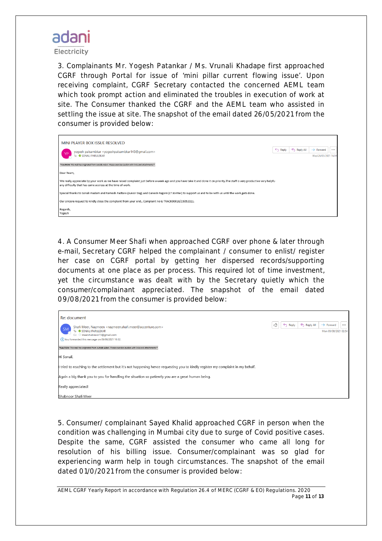

Electricity

3. Complainants Mr. Yogesh Patankar / Ms. Vrunali Khadape first approached CGRF through Portal for issue of 'mini pillar current flowing issue'. Upon receiving complaint, CGRF Secretary contacted the concerned AEML team which took prompt action and eliminated the troubles in execution of work at site. The Consumer thanked the CGRF and the AEML team who assisted in settling the issue at site. The snapshot of the email dated 26/05/2021 from the consumer is provided below:

| MINI PLAYER BOX ISSUE RESOLVED                                                                                                                                                                                                           |                    |           |                                                   |
|------------------------------------------------------------------------------------------------------------------------------------------------------------------------------------------------------------------------------------------|--------------------|-----------|---------------------------------------------------|
| yogesh palsambkar <yogeshpalsambkar143@gmail.com><br/>To <b>O</b> SONALI PARULEKAR</yogeshpalsambkar143@gmail.com>                                                                                                                       | $\leftarrow$ Reply | Reply All | $\rightarrow$ Forward<br><br>Wed 26/05/2021 16:14 |
| *CAUTION: This mail has originated from outside Adani. Please exercise caution with links and attachments.*                                                                                                                              |                    |           |                                                   |
| Dear Team,                                                                                                                                                                                                                               |                    |           |                                                   |
| We really appreciate by your work as we have raised complaint just before a week ago and you have take it and done it on priority. The staff is very productive very helpfu<br>any difficulty that has came accross at the time of work. |                    |           |                                                   |
| Special thanks to Sonali madam and Ramesh Padtare (Junior Eng) and Ganesh Ragoni (LT Jointer) to support us and to be with us until the work gets done.                                                                                  |                    |           |                                                   |
| Our sincere request to kindly close the complaint from your end., Complaint no is TRACK00016/15052021.                                                                                                                                   |                    |           |                                                   |
| Regards,<br>Yogesh                                                                                                                                                                                                                       |                    |           |                                                   |

4. A Consumer Meer Shafi when approached CGRF over phone & later through e-mail, Secretary CGRF helped the complainant / consumer to enlist/ register her case on CGRF portal by getting her dispersed records/supporting documents at one place as per process. This required lot of time investment, yet the circumstance was dealt with by the Secretary quietly which the consumer/complainant appreciated. The snapshot of the email dated 09/08/2021 from the consumer is provided below:

| Re: document<br>Shafi Meer, Nazmeen <nazmeen.shafi.meer@accenture.com><br/><b>SM</b><br/>To SONALI PARULEKAR<br/>Cc O meershabnoor15@gmail.com<br/>(i) You forwarded this message on 09/08/2021 10:32.</nazmeen.shafi.meer@accenture.com> | Reply All<br>ᠿ<br>Reply<br>$\leftrightarrow$ | $\rightarrow$ Forward<br><br>Mon 09/08/2021 02:54 |
|-------------------------------------------------------------------------------------------------------------------------------------------------------------------------------------------------------------------------------------------|----------------------------------------------|---------------------------------------------------|
| *CAUTION: This mail has originated from outside Adani. Please exercise caution with links and attachments.*                                                                                                                               |                                              |                                                   |
| Hi Sonali,                                                                                                                                                                                                                                |                                              |                                                   |
| I tried to reaching to the settlement but it's not happening hence requesting you to kindly register my complaint in my behalf.                                                                                                           |                                              |                                                   |
| Again a big thank you to you for handling the situation so patiently you are a great human being.                                                                                                                                         |                                              |                                                   |
| Really appreciated!                                                                                                                                                                                                                       |                                              |                                                   |
| Shabnoor Shafi Meer                                                                                                                                                                                                                       |                                              |                                                   |

5. Consumer/ complainant Sayed Khalid approached CGRF in person when the condition was challenging in Mumbai city due to surge of Covid positive cases. Despite the same, CGRF assisted the consumer who came all long for resolution of his billing issue. Consumer/complainant was so glad for experiencing warm help in tough circumstances. The snapshot of the email dated 01/0/2021 from the consumer is provided below:

*AEML CGRF Yearly Report in accordance with Regulation 26.4 of MERC (CGRF & EO) Regulations. 2020 Page 11 of 13*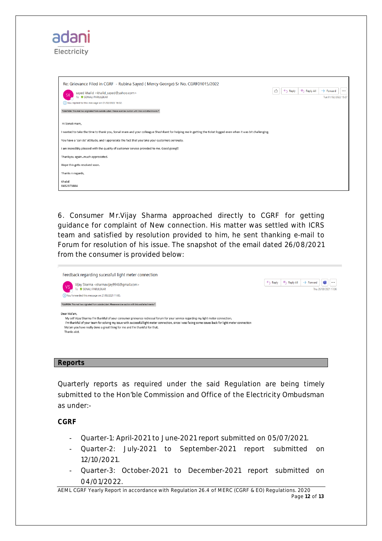| <u>adani</u><br>Electricity                                                                                                                                    |                                                                                                |
|----------------------------------------------------------------------------------------------------------------------------------------------------------------|------------------------------------------------------------------------------------------------|
| Re: Grievance Filed in CGRF - Rubina Sayed (Mercy George) Sr No. CGRF01015/2022                                                                                |                                                                                                |
| sayed khalid <khalid_sayed@yahoo.com><br/><b>SK</b><br/>To <b>O</b> SONALI PARULEKAR</khalid_sayed@yahoo.com>                                                  | K Reply All<br>$\rightarrow$ Forward<br>$\leftarrow$ Reply<br>$\cdots$<br>Tue 01/02/2022 15:27 |
| (i) You replied to this message on 01/02/2022 16:02.                                                                                                           |                                                                                                |
| *CAUTION: This mail has originated from outside Adani. Please exercise caution with links and attachments.*                                                    |                                                                                                |
| Hi Sonali mam,                                                                                                                                                 |                                                                                                |
| I wanted to take the time to thank you, Sonali mam and your colleague Shashikant for helping me in getting the ticket logged even when it was bit challenging. |                                                                                                |
| You have a 'can do' attitude, and I appreciate the fact that you take your customers seriously.                                                                |                                                                                                |
| I am incredibly pleased with the quality of customer service provided to me. Good going!!                                                                      |                                                                                                |
| Thankyou againmuch appreciated.                                                                                                                                |                                                                                                |
| Hope this gets resolved soon.                                                                                                                                  |                                                                                                |
| Thanks n regards,                                                                                                                                              |                                                                                                |
| Khalid<br>8452979884                                                                                                                                           |                                                                                                |

6. Consumer Mr.Vijay Sharma approached directly to CGRF for getting guidance for complaint of New connection. His matter was settled with ICRS team and satisfied by resolution provided to him, he sent thanking e-mail to Forum for resolution of his issue. The snapshot of the email dated 26/08/2021 from the consumer is provided below:

| Feedback regarding sucessfull light meter connection                                                                                                                                                                                                                                                                                                                                                     |                    |           |                                                        |
|----------------------------------------------------------------------------------------------------------------------------------------------------------------------------------------------------------------------------------------------------------------------------------------------------------------------------------------------------------------------------------------------------------|--------------------|-----------|--------------------------------------------------------|
| Vijay Sharma <sharmavijay9946@gmail.com><br/>To <b>O</b> SONALI PARULEKAR</sharmavijay9946@gmail.com>                                                                                                                                                                                                                                                                                                    | $\leftarrow$ Reply | Reply All | m<br>$\rightarrow$ Forward<br><br>Thu 26/08/2021 17:06 |
| (i) You forwarded this message on 27/08/2021 11:00.                                                                                                                                                                                                                                                                                                                                                      |                    |           |                                                        |
| *CAUTION: This mail has originated from outside Adani. Please exercise caution with links and attachments.*                                                                                                                                                                                                                                                                                              |                    |           |                                                        |
| Dear Ma'am,<br>My self Vijay Sharma I'm thankful of your consumer grievance redressal forum for your service regarding my light meter connection.<br>I'm thankful of your team for solving my issue with successful light meter connection, since I was facing some issues back for light meter connection<br>Ma'am you have really done a great thing for me and I'm thankful for that.<br>Thanks alot. |                    |           |                                                        |

### **Reports**

Quarterly reports as required under the said Regulation are being timely submitted to the Hon'ble Commission and Office of the Electricity Ombudsman as under:-

**CGRF**

- Quarter-1: April-2021 to June-2021 report submitted on 05/07/2021.
- Quarter-2: July-2021 to September-2021 report submitted on 12/10/2021.
- Quarter-3: October-2021 to December-2021 report submitted on 04/01/2022.